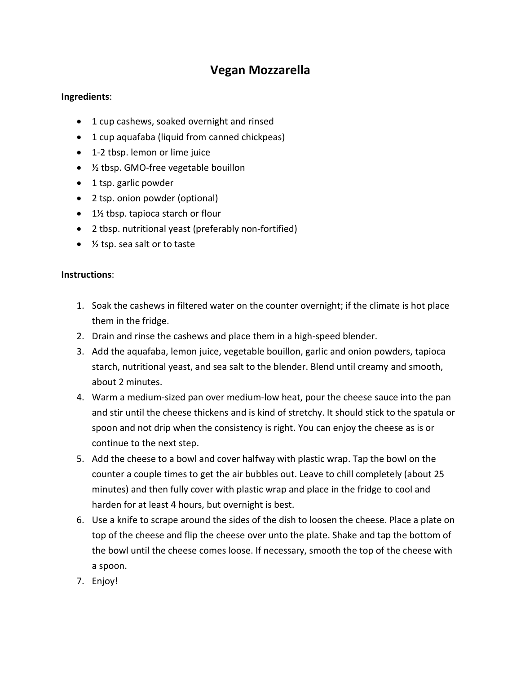## **Vegan Mozzarella**

## **Ingredients**:

- 1 cup cashews, soaked overnight and rinsed
- 1 cup aquafaba (liquid from canned chickpeas)
- 1-2 tbsp. lemon or lime juice
- ½ tbsp. GMO-free vegetable bouillon
- 1 tsp. garlic powder
- 2 tsp. onion powder (optional)
- 1½ tbsp. tapioca starch or flour
- 2 tbsp. nutritional yeast (preferably non-fortified)
- ½ tsp. sea salt or to taste

## **Instructions**:

- 1. Soak the cashews in filtered water on the counter overnight; if the climate is hot place them in the fridge.
- 2. Drain and rinse the cashews and place them in a high-speed blender.
- 3. Add the aquafaba, lemon juice, vegetable bouillon, garlic and onion powders, tapioca starch, nutritional yeast, and sea salt to the blender. Blend until creamy and smooth, about 2 minutes.
- 4. Warm a medium-sized pan over medium-low heat, pour the cheese sauce into the pan and stir until the cheese thickens and is kind of stretchy. It should stick to the spatula or spoon and not drip when the consistency is right. You can enjoy the cheese as is or continue to the next step.
- 5. Add the cheese to a bowl and cover halfway with plastic wrap. Tap the bowl on the counter a couple times to get the air bubbles out. Leave to chill completely (about 25 minutes) and then fully cover with plastic wrap and place in the fridge to cool and harden for at least 4 hours, but overnight is best.
- 6. Use a knife to scrape around the sides of the dish to loosen the cheese. Place a plate on top of the cheese and flip the cheese over unto the plate. Shake and tap the bottom of the bowl until the cheese comes loose. If necessary, smooth the top of the cheese with a spoon.
- 7. Enjoy!